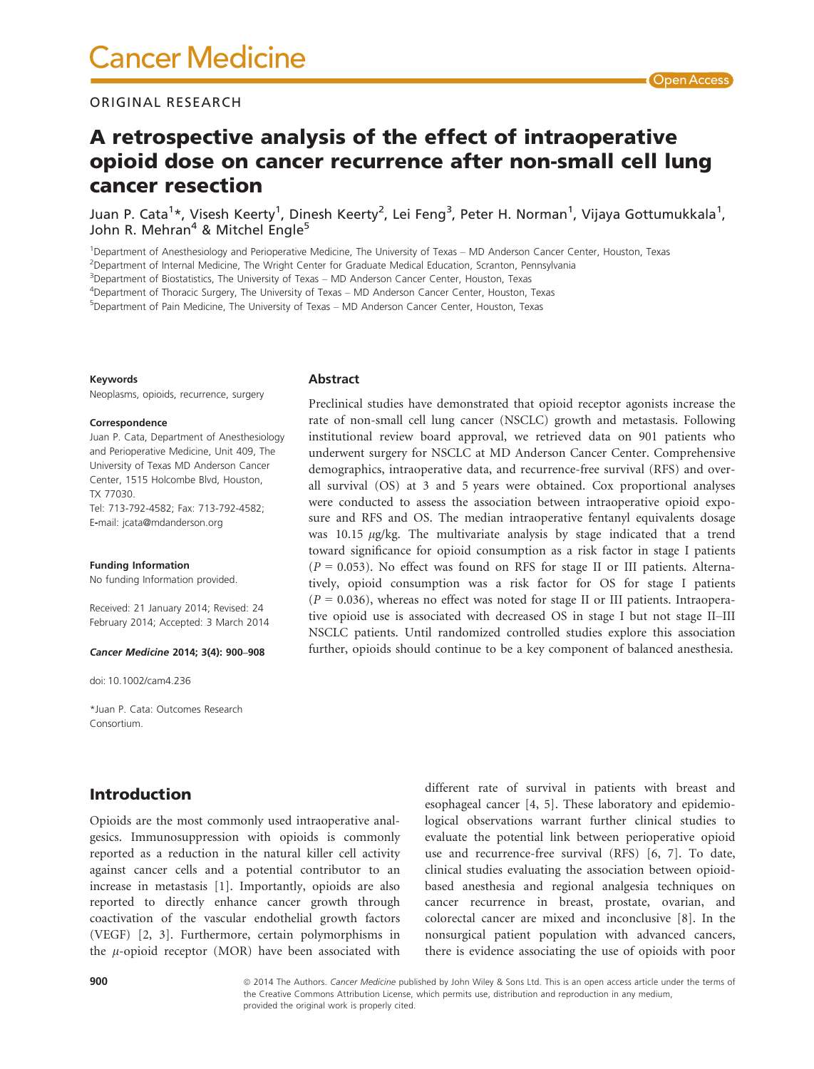#### ORIGINAL RESEARCH

# A retrospective analysis of the effect of intraoperative opioid dose on cancer recurrence after non-small cell lung cancer resection

Juan P. Cata<sup>1</sup>\*, Visesh Keerty<sup>1</sup>, Dinesh Keerty<sup>2</sup>, Lei Feng<sup>3</sup>, Peter H. Norman<sup>1</sup>, Vijaya Gottumukkala<sup>1</sup>, John R. Mehran<sup>4</sup> & Mitchel Engle<sup>5</sup>

1 Department of Anesthesiology and Perioperative Medicine, The University of Texas – MD Anderson Cancer Center, Houston, Texas

2 Department of Internal Medicine, The Wright Center for Graduate Medical Education, Scranton, Pennsylvania

<sup>3</sup>Department of Biostatistics, The University of Texas – MD Anderson Cancer Center, Houston, Texas

4 Department of Thoracic Surgery, The University of Texas – MD Anderson Cancer Center, Houston, Texas

5 Department of Pain Medicine, The University of Texas – MD Anderson Cancer Center, Houston, Texas

#### Keywords

Neoplasms, opioids, recurrence, surgery

#### **Correspondence**

Juan P. Cata, Department of Anesthesiology and Perioperative Medicine, Unit 409, The University of Texas MD Anderson Cancer Center, 1515 Holcombe Blvd, Houston, TX 77030. Tel: 713-792-4582; Fax: 713-792-4582; E-mail: jcata@mdanderson.org

#### Funding Information

No funding Information provided.

Received: 21 January 2014; Revised: 24 February 2014; Accepted: 3 March 2014

Cancer Medicine 2014; 3(4): 900–908

doi: 10.1002/cam4.236

\*Juan P. Cata: Outcomes Research Consortium.

### Introduction

Opioids are the most commonly used intraoperative analgesics. Immunosuppression with opioids is commonly reported as a reduction in the natural killer cell activity against cancer cells and a potential contributor to an increase in metastasis [1]. Importantly, opioids are also reported to directly enhance cancer growth through coactivation of the vascular endothelial growth factors (VEGF) [2, 3]. Furthermore, certain polymorphisms in the  $\mu$ -opioid receptor (MOR) have been associated with different rate of survival in patients with breast and esophageal cancer [4, 5]. These laboratory and epidemiological observations warrant further clinical studies to evaluate the potential link between perioperative opioid use and recurrence-free survival (RFS) [6, 7]. To date, clinical studies evaluating the association between opioidbased anesthesia and regional analgesia techniques on cancer recurrence in breast, prostate, ovarian, and colorectal cancer are mixed and inconclusive [8]. In the nonsurgical patient population with advanced cancers, there is evidence associating the use of opioids with poor

Abstract

Preclinical studies have demonstrated that opioid receptor agonists increase the rate of non-small cell lung cancer (NSCLC) growth and metastasis. Following institutional review board approval, we retrieved data on 901 patients who underwent surgery for NSCLC at MD Anderson Cancer Center. Comprehensive demographics, intraoperative data, and recurrence-free survival (RFS) and overall survival (OS) at 3 and 5 years were obtained. Cox proportional analyses were conducted to assess the association between intraoperative opioid exposure and RFS and OS. The median intraoperative fentanyl equivalents dosage was  $10.15 \mu g/kg$ . The multivariate analysis by stage indicated that a trend toward significance for opioid consumption as a risk factor in stage I patients  $(P = 0.053)$ . No effect was found on RFS for stage II or III patients. Alternatively, opioid consumption was a risk factor for OS for stage I patients  $(P = 0.036)$ , whereas no effect was noted for stage II or III patients. Intraoperative opioid use is associated with decreased OS in stage I but not stage II–III NSCLC patients. Until randomized controlled studies explore this association further, opioids should continue to be a key component of balanced anesthesia.

900 **900 2014 The Authors.** Cancer Medicine published by John Wiley & Sons Ltd. This is an open access article under the terms of the Creative Commons Attribution License, which permits use, distribution and reproduction in any medium, provided the original work is properly cited.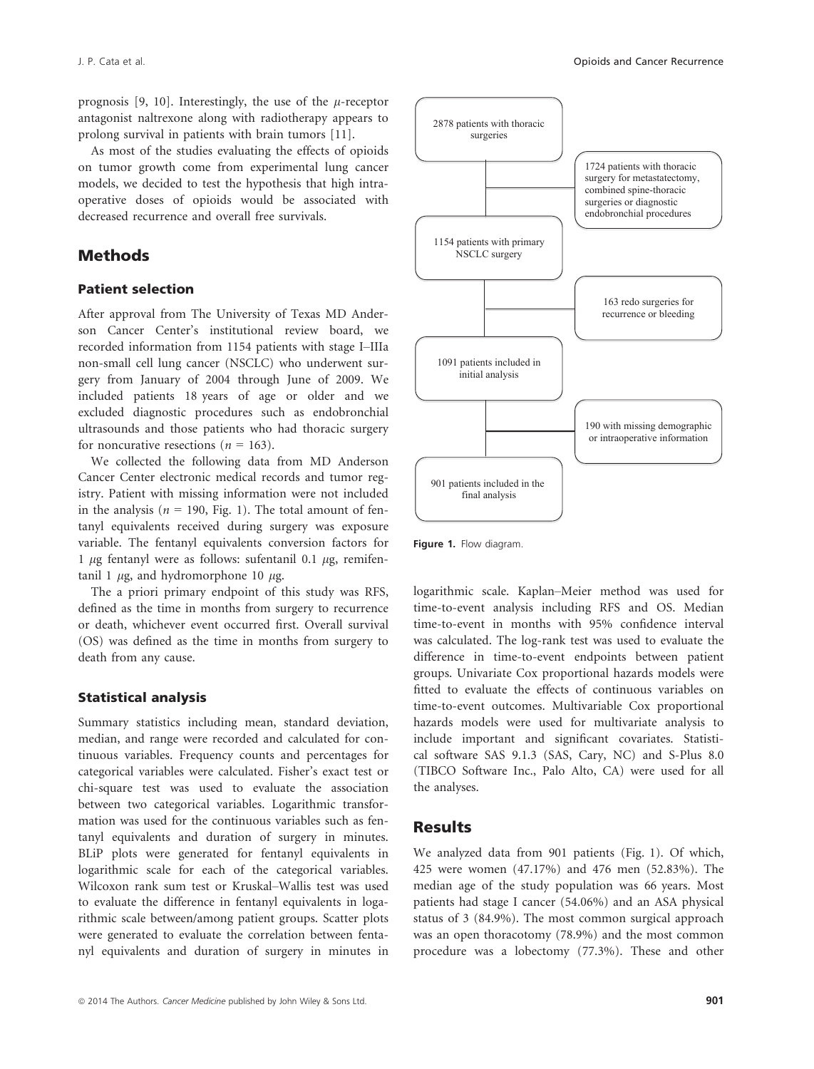prognosis [9, 10]. Interestingly, the use of the  $\mu$ -receptor antagonist naltrexone along with radiotherapy appears to prolong survival in patients with brain tumors [11].

As most of the studies evaluating the effects of opioids on tumor growth come from experimental lung cancer models, we decided to test the hypothesis that high intraoperative doses of opioids would be associated with decreased recurrence and overall free survivals.

## Methods

### Patient selection

After approval from The University of Texas MD Anderson Cancer Center's institutional review board, we recorded information from 1154 patients with stage I–IIIa non-small cell lung cancer (NSCLC) who underwent surgery from January of 2004 through June of 2009. We included patients 18 years of age or older and we excluded diagnostic procedures such as endobronchial ultrasounds and those patients who had thoracic surgery for noncurative resections ( $n = 163$ ).

We collected the following data from MD Anderson Cancer Center electronic medical records and tumor registry. Patient with missing information were not included in the analysis ( $n = 190$ , Fig. 1). The total amount of fentanyl equivalents received during surgery was exposure variable. The fentanyl equivalents conversion factors for 1  $\mu$ g fentanyl were as follows: sufentanil 0.1  $\mu$ g, remifentanil 1  $\mu$ g, and hydromorphone 10  $\mu$ g.

The a priori primary endpoint of this study was RFS, defined as the time in months from surgery to recurrence or death, whichever event occurred first. Overall survival (OS) was defined as the time in months from surgery to death from any cause.

#### Statistical analysis

Summary statistics including mean, standard deviation, median, and range were recorded and calculated for continuous variables. Frequency counts and percentages for categorical variables were calculated. Fisher's exact test or chi-square test was used to evaluate the association between two categorical variables. Logarithmic transformation was used for the continuous variables such as fentanyl equivalents and duration of surgery in minutes. BLiP plots were generated for fentanyl equivalents in logarithmic scale for each of the categorical variables. Wilcoxon rank sum test or Kruskal–Wallis test was used to evaluate the difference in fentanyl equivalents in logarithmic scale between/among patient groups. Scatter plots were generated to evaluate the correlation between fentanyl equivalents and duration of surgery in minutes in



Figure 1. Flow diagram.

logarithmic scale. Kaplan–Meier method was used for time-to-event analysis including RFS and OS. Median time-to-event in months with 95% confidence interval was calculated. The log-rank test was used to evaluate the difference in time-to-event endpoints between patient groups. Univariate Cox proportional hazards models were fitted to evaluate the effects of continuous variables on time-to-event outcomes. Multivariable Cox proportional hazards models were used for multivariate analysis to include important and significant covariates. Statistical software SAS 9.1.3 (SAS, Cary, NC) and S-Plus 8.0 (TIBCO Software Inc., Palo Alto, CA) were used for all the analyses.

#### **Results**

We analyzed data from 901 patients (Fig. 1). Of which, 425 were women (47.17%) and 476 men (52.83%). The median age of the study population was 66 years. Most patients had stage I cancer (54.06%) and an ASA physical status of 3 (84.9%). The most common surgical approach was an open thoracotomy (78.9%) and the most common procedure was a lobectomy (77.3%). These and other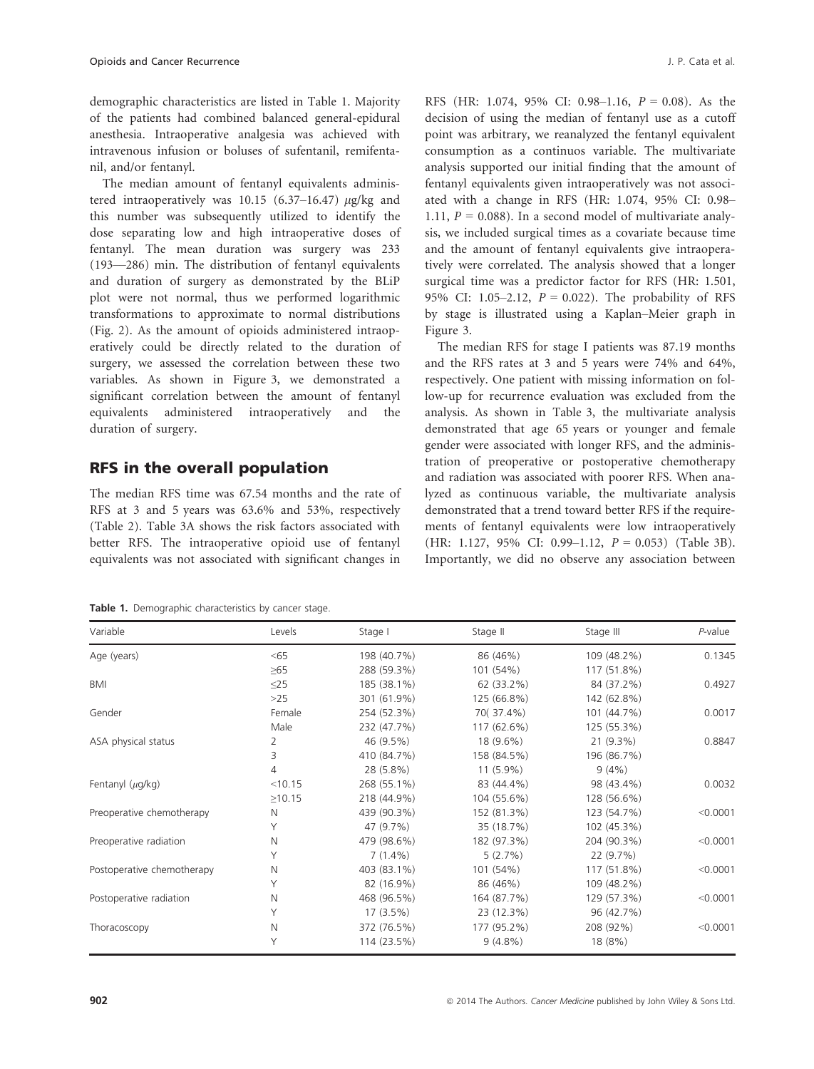demographic characteristics are listed in Table 1. Majority of the patients had combined balanced general-epidural anesthesia. Intraoperative analgesia was achieved with intravenous infusion or boluses of sufentanil, remifentanil, and/or fentanyl.

The median amount of fentanyl equivalents administered intraoperatively was  $10.15$   $(6.37-16.47)$   $\mu$ g/kg and this number was subsequently utilized to identify the dose separating low and high intraoperative doses of fentanyl. The mean duration was surgery was 233 (193––286) min. The distribution of fentanyl equivalents and duration of surgery as demonstrated by the BLiP plot were not normal, thus we performed logarithmic transformations to approximate to normal distributions (Fig. 2). As the amount of opioids administered intraoperatively could be directly related to the duration of surgery, we assessed the correlation between these two variables. As shown in Figure 3, we demonstrated a significant correlation between the amount of fentanyl equivalents administered intraoperatively and the duration of surgery.

## RFS in the overall population

The median RFS time was 67.54 months and the rate of RFS at 3 and 5 years was 63.6% and 53%, respectively (Table 2). Table 3A shows the risk factors associated with better RFS. The intraoperative opioid use of fentanyl equivalents was not associated with significant changes in RFS (HR: 1.074, 95% CI: 0.98-1.16,  $P = 0.08$ ). As the decision of using the median of fentanyl use as a cutoff point was arbitrary, we reanalyzed the fentanyl equivalent consumption as a continuos variable. The multivariate analysis supported our initial finding that the amount of fentanyl equivalents given intraoperatively was not associated with a change in RFS (HR: 1.074, 95% CI: 0.98– 1.11,  $P = 0.088$ ). In a second model of multivariate analysis, we included surgical times as a covariate because time and the amount of fentanyl equivalents give intraoperatively were correlated. The analysis showed that a longer surgical time was a predictor factor for RFS (HR: 1.501, 95% CI: 1.05–2.12,  $P = 0.022$ ). The probability of RFS by stage is illustrated using a Kaplan–Meier graph in Figure 3.

The median RFS for stage I patients was 87.19 months and the RFS rates at 3 and 5 years were 74% and 64%, respectively. One patient with missing information on follow-up for recurrence evaluation was excluded from the analysis. As shown in Table 3, the multivariate analysis demonstrated that age 65 years or younger and female gender were associated with longer RFS, and the administration of preoperative or postoperative chemotherapy and radiation was associated with poorer RFS. When analyzed as continuous variable, the multivariate analysis demonstrated that a trend toward better RFS if the requirements of fentanyl equivalents were low intraoperatively (HR: 1.127, 95% CI: 0.99–1.12,  $P = 0.053$ ) (Table 3B). Importantly, we did no observe any association between

Table 1. Demographic characteristics by cancer stage.

| Variable                   | Levels       | Stage I     | Stage II    | Stage III   | $P$ -value |
|----------------------------|--------------|-------------|-------------|-------------|------------|
| Age (years)                | < 65         | 198 (40.7%) | 86 (46%)    | 109 (48.2%) | 0.1345     |
|                            | $\geq 65$    | 288 (59.3%) | 101 (54%)   | 117 (51.8%) |            |
| BMI                        | $\leq$ 25    | 185 (38.1%) | 62 (33.2%)  | 84 (37.2%)  | 0.4927     |
|                            | >25          | 301 (61.9%) | 125 (66.8%) | 142 (62.8%) |            |
| Gender                     | Female       | 254 (52.3%) | 70(37.4%)   | 101 (44.7%) | 0.0017     |
|                            | Male         | 232 (47.7%) | 117 (62.6%) | 125 (55.3%) |            |
| ASA physical status        | 2            | 46 (9.5%)   | 18 (9.6%)   | $21(9.3\%)$ | 0.8847     |
|                            | 3            | 410 (84.7%) | 158 (84.5%) | 196 (86.7%) |            |
|                            | 4            | 28 (5.8%)   | $11(5.9\%)$ | 9(4%)       |            |
| Fentanyl $(\mu q/kg)$      | < 10.15      | 268 (55.1%) | 83 (44.4%)  | 98 (43.4%)  | 0.0032     |
|                            | $\geq 10.15$ | 218 (44.9%) | 104 (55.6%) | 128 (56.6%) |            |
| Preoperative chemotherapy  | N            | 439 (90.3%) | 152 (81.3%) | 123 (54.7%) | < 0.0001   |
|                            | Υ            | 47 (9.7%)   | 35 (18.7%)  | 102 (45.3%) |            |
| Preoperative radiation     | N            | 479 (98.6%) | 182 (97.3%) | 204 (90.3%) | < 0.0001   |
|                            | Υ            | $7(1.4\%)$  | 5(2.7%)     | 22(9.7%)    |            |
| Postoperative chemotherapy | N            | 403 (83.1%) | 101 (54%)   | 117 (51.8%) | < 0.0001   |
|                            | Υ            | 82 (16.9%)  | 86 (46%)    | 109 (48.2%) |            |
| Postoperative radiation    | N            | 468 (96.5%) | 164 (87.7%) | 129 (57.3%) | < 0.0001   |
|                            | Υ            | $17(3.5\%)$ | 23 (12.3%)  | 96 (42.7%)  |            |
| Thoracoscopy               | Ν            | 372 (76.5%) | 177 (95.2%) | 208 (92%)   | < 0.0001   |
|                            | Υ            | 114 (23.5%) | $9(4.8\%)$  | 18 (8%)     |            |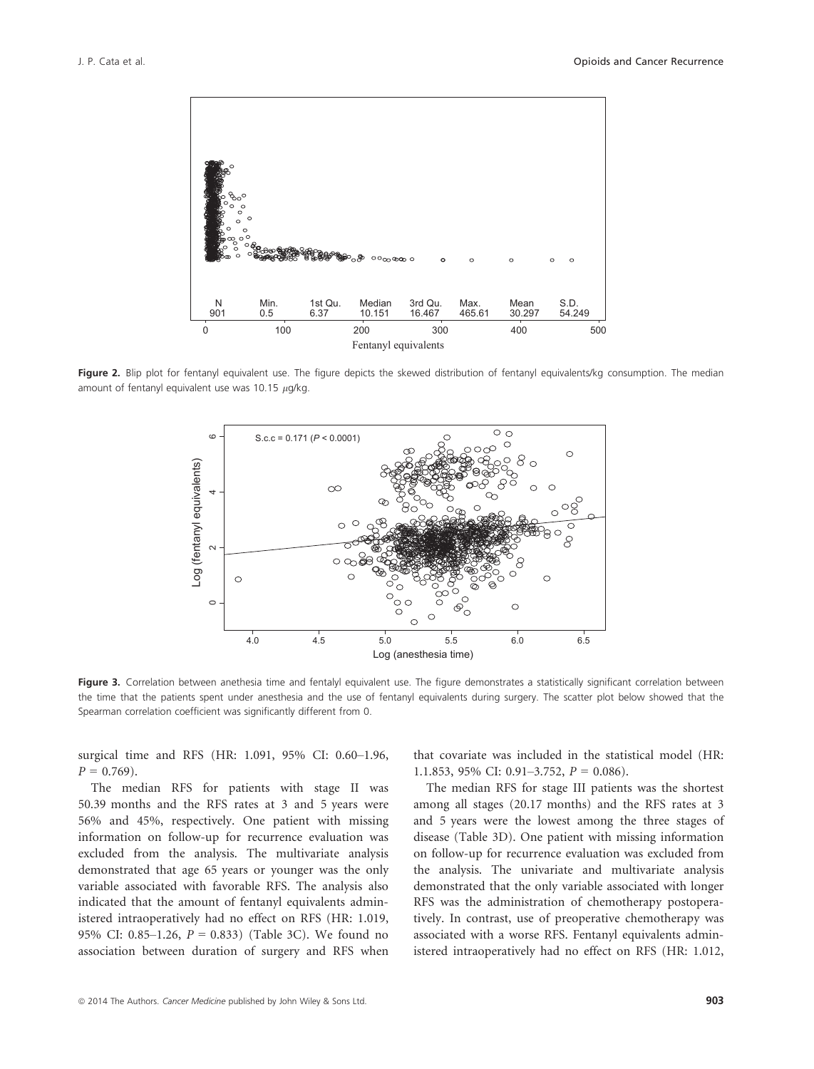

Figure 2. Blip plot for fentanyl equivalent use. The figure depicts the skewed distribution of fentanyl equivalents/kg consumption. The median amount of fentanyl equivalent use was 10.15  $\mu$ g/kg.



Figure 3. Correlation between anethesia time and fentalyl equivalent use. The figure demonstrates a statistically significant correlation between the time that the patients spent under anesthesia and the use of fentanyl equivalents during surgery. The scatter plot below showed that the Spearman correlation coefficient was significantly different from 0.

surgical time and RFS (HR: 1.091, 95% CI: 0.60–1.96,  $P = 0.769$ .

The median RFS for patients with stage II was 50.39 months and the RFS rates at 3 and 5 years were 56% and 45%, respectively. One patient with missing information on follow-up for recurrence evaluation was excluded from the analysis. The multivariate analysis demonstrated that age 65 years or younger was the only variable associated with favorable RFS. The analysis also indicated that the amount of fentanyl equivalents administered intraoperatively had no effect on RFS (HR: 1.019, 95% CI: 0.85–1.26, P = 0.833) (Table 3C). We found no association between duration of surgery and RFS when that covariate was included in the statistical model (HR: 1.1.853, 95% CI: 0.91–3.752,  $P = 0.086$ ).

The median RFS for stage III patients was the shortest among all stages (20.17 months) and the RFS rates at 3 and 5 years were the lowest among the three stages of disease (Table 3D). One patient with missing information on follow-up for recurrence evaluation was excluded from the analysis. The univariate and multivariate analysis demonstrated that the only variable associated with longer RFS was the administration of chemotherapy postoperatively. In contrast, use of preoperative chemotherapy was associated with a worse RFS. Fentanyl equivalents administered intraoperatively had no effect on RFS (HR: 1.012,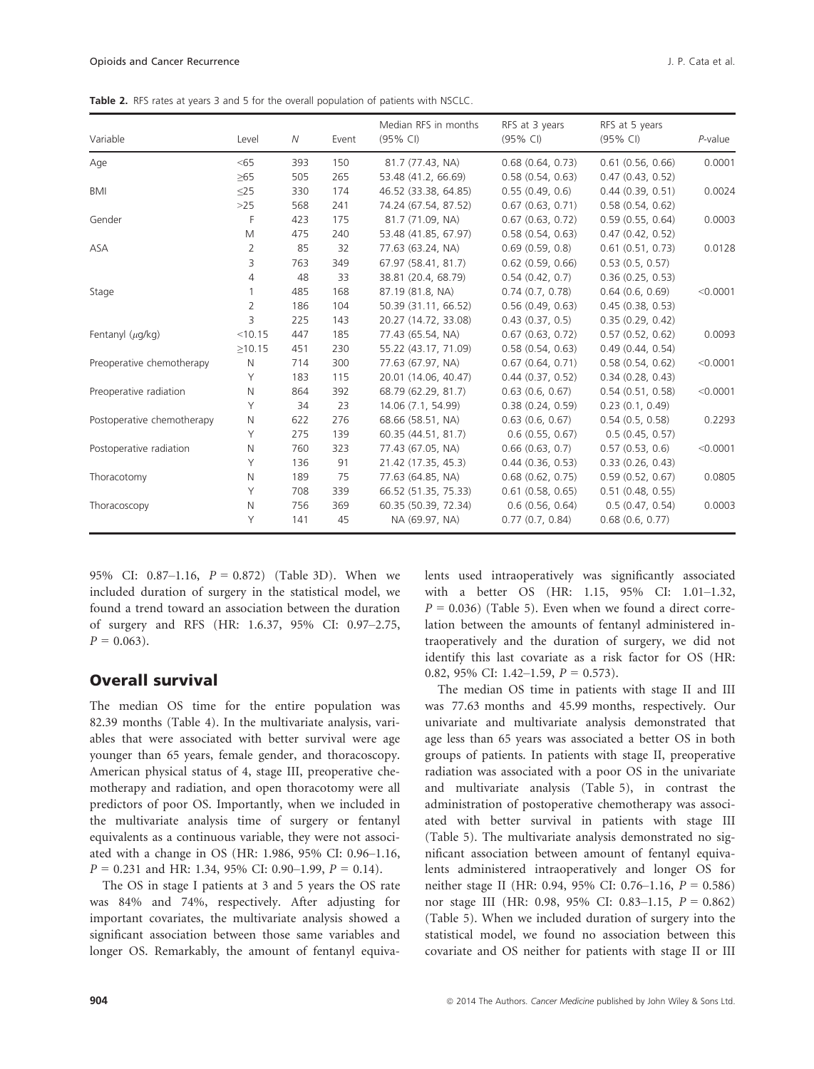Table 2. RFS rates at years 3 and 5 for the overall population of patients with NSCLC.

| Variable                   | Level          | N   | Event | Median RFS in months<br>(95% CI) | RFS at 3 years<br>(95% CI) | RFS at 5 years<br>(95% CI) | P-value  |
|----------------------------|----------------|-----|-------|----------------------------------|----------------------------|----------------------------|----------|
| Age                        | < 65           | 393 | 150   | 81.7 (77.43, NA)                 | 0.68(0.64, 0.73)           | $0.61$ (0.56, 0.66)        | 0.0001   |
|                            | $\geq 65$      | 505 | 265   | 53.48 (41.2, 66.69)              | 0.58(0.54, 0.63)           | 0.47(0.43, 0.52)           |          |
| BMI                        | $\leq$ 25      | 330 | 174   | 46.52 (33.38, 64.85)             | 0.55(0.49, 0.6)            | 0.44(0.39, 0.51)           | 0.0024   |
|                            | $>25$          | 568 | 241   | 74.24 (67.54, 87.52)             | 0.67(0.63, 0.71)           | 0.58(0.54, 0.62)           |          |
| Gender                     | F              | 423 | 175   | 81.7 (71.09, NA)                 | $0.67$ (0.63, 0.72)        | 0.59(0.55, 0.64)           | 0.0003   |
|                            | M              | 475 | 240   | 53.48 (41.85, 67.97)             | 0.58(0.54, 0.63)           | 0.47(0.42, 0.52)           |          |
| ASA                        | 2              | 85  | 32    | 77.63 (63.24, NA)                | 0.69(0.59, 0.8)            | 0.61(0.51, 0.73)           | 0.0128   |
|                            | 3              | 763 | 349   | 67.97 (58.41, 81.7)              | $0.62$ $(0.59, 0.66)$      | 0.53(0.5, 0.57)            |          |
|                            | 4              | 48  | 33    | 38.81 (20.4, 68.79)              | 0.54(0.42, 0.7)            | 0.36(0.25, 0.53)           |          |
| Stage                      | 1              | 485 | 168   | 87.19 (81.8, NA)                 | 0.74(0.7, 0.78)            | 0.64(0.6, 0.69)            | < 0.0001 |
|                            | $\overline{2}$ | 186 | 104   | 50.39 (31.11, 66.52)             | 0.56(0.49, 0.63)           | 0.45(0.38, 0.53)           |          |
|                            | 3              | 225 | 143   | 20.27 (14.72, 33.08)             | 0.43(0.37, 0.5)            | 0.35(0.29, 0.42)           |          |
| Fentanyl $(\mu q/kg)$      | < 10.15        | 447 | 185   | 77.43 (65.54, NA)                | $0.67$ $(0.63, 0.72)$      | 0.57(0.52, 0.62)           | 0.0093   |
|                            | $\geq 10.15$   | 451 | 230   | 55.22 (43.17, 71.09)             | 0.58(0.54, 0.63)           | 0.49(0.44, 0.54)           |          |
| Preoperative chemotherapy  | N              | 714 | 300   | 77.63 (67.97, NA)                | 0.67(0.64, 0.71)           | 0.58(0.54, 0.62)           | < 0.0001 |
|                            | Υ              | 183 | 115   | 20.01 (14.06, 40.47)             | 0.44(0.37, 0.52)           | 0.34(0.28, 0.43)           |          |
| Preoperative radiation     | $\mathsf{N}$   | 864 | 392   | 68.79 (62.29, 81.7)              | 0.63(0.6, 0.67)            | 0.54(0.51, 0.58)           | < 0.0001 |
|                            | Y              | 34  | 23    | 14.06 (7.1, 54.99)               | 0.38(0.24, 0.59)           | 0.23(0.1, 0.49)            |          |
| Postoperative chemotherapy | N              | 622 | 276   | 68.66 (58.51, NA)                | 0.63(0.6, 0.67)            | 0.54(0.5, 0.58)            | 0.2293   |
|                            | Υ              | 275 | 139   | 60.35 (44.51, 81.7)              | 0.6(0.55, 0.67)            | 0.5(0.45, 0.57)            |          |
| Postoperative radiation    | $\mathsf{N}$   | 760 | 323   | 77.43 (67.05, NA)                | 0.66(0.63, 0.7)            | 0.57(0.53, 0.6)            | < 0.0001 |
|                            | Υ              | 136 | 91    | 21.42 (17.35, 45.3)              | 0.44(0.36, 0.53)           | 0.33(0.26, 0.43)           |          |
| Thoracotomy                | $\mathsf{N}$   | 189 | 75    | 77.63 (64.85, NA)                | 0.68(0.62, 0.75)           | 0.59(0.52, 0.67)           | 0.0805   |
|                            | Υ              | 708 | 339   | 66.52 (51.35, 75.33)             | $0.61$ $(0.58, 0.65)$      | 0.51(0.48, 0.55)           |          |
| Thoracoscopy               | $\mathsf{N}$   | 756 | 369   | 60.35 (50.39, 72.34)             | 0.6(0.56, 0.64)            | 0.5(0.47, 0.54)            | 0.0003   |
|                            | Υ              | 141 | 45    | NA (69.97, NA)                   | 0.77(0.7, 0.84)            | 0.68(0.6, 0.77)            |          |

95% CI: 0.87-1.16,  $P = 0.872$ ) (Table 3D). When we included duration of surgery in the statistical model, we found a trend toward an association between the duration of surgery and RFS (HR: 1.6.37, 95% CI: 0.97–2.75,  $P = 0.063$ .

# Overall survival

The median OS time for the entire population was 82.39 months (Table 4). In the multivariate analysis, variables that were associated with better survival were age younger than 65 years, female gender, and thoracoscopy. American physical status of 4, stage III, preoperative chemotherapy and radiation, and open thoracotomy were all predictors of poor OS. Importantly, when we included in the multivariate analysis time of surgery or fentanyl equivalents as a continuous variable, they were not associated with a change in OS (HR: 1.986, 95% CI: 0.96–1.16,  $P = 0.231$  and HR: 1.34, 95% CI: 0.90–1.99,  $P = 0.14$ ).

The OS in stage I patients at 3 and 5 years the OS rate was 84% and 74%, respectively. After adjusting for important covariates, the multivariate analysis showed a significant association between those same variables and longer OS. Remarkably, the amount of fentanyl equivalents used intraoperatively was significantly associated with a better OS (HR: 1.15, 95% CI: 1.01–1.32,  $P = 0.036$ ) (Table 5). Even when we found a direct correlation between the amounts of fentanyl administered intraoperatively and the duration of surgery, we did not identify this last covariate as a risk factor for OS (HR: 0.82, 95% CI: 1.42–1.59,  $P = 0.573$ ).

The median OS time in patients with stage II and III was 77.63 months and 45.99 months, respectively. Our univariate and multivariate analysis demonstrated that age less than 65 years was associated a better OS in both groups of patients. In patients with stage II, preoperative radiation was associated with a poor OS in the univariate and multivariate analysis (Table 5), in contrast the administration of postoperative chemotherapy was associated with better survival in patients with stage III (Table 5). The multivariate analysis demonstrated no significant association between amount of fentanyl equivalents administered intraoperatively and longer OS for neither stage II (HR: 0.94, 95% CI: 0.76–1.16, P = 0.586) nor stage III (HR: 0.98, 95% CI: 0.83–1.15,  $P = 0.862$ ) (Table 5). When we included duration of surgery into the statistical model, we found no association between this covariate and OS neither for patients with stage II or III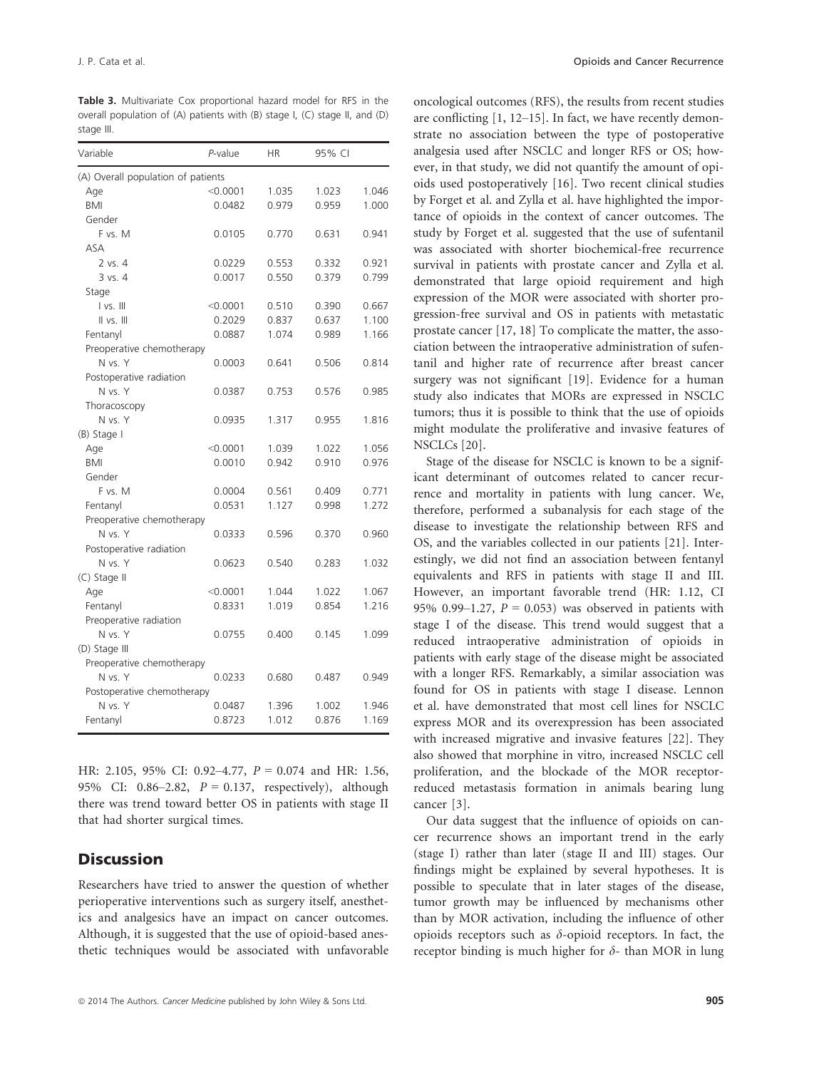Table 3. Multivariate Cox proportional hazard model for RFS in the overall population of (A) patients with (B) stage I, (C) stage II, and (D) stage III.

| Variable                           | P-value  | <b>HR</b> | 95% CI |       |
|------------------------------------|----------|-----------|--------|-------|
| (A) Overall population of patients |          |           |        |       |
| Age                                | < 0.0001 | 1.035     | 1.023  | 1.046 |
| <b>BMI</b>                         | 0.0482   | 0.979     | 0.959  | 1.000 |
| Gender                             |          |           |        |       |
| F vs. M                            | 0.0105   | 0.770     | 0.631  | 0.941 |
| <b>ASA</b>                         |          |           |        |       |
| 2 vs. 4                            | 0.0229   | 0.553     | 0.332  | 0.921 |
| 3 vs. 4                            | 0.0017   | 0.550     | 0.379  | 0.799 |
| Stage                              |          |           |        |       |
| I vs. III                          | < 0.0001 | 0.510     | 0.390  | 0.667 |
| II vs. III                         | 0.2029   | 0.837     | 0.637  | 1.100 |
| Fentanyl                           | 0.0887   | 1.074     | 0.989  | 1.166 |
| Preoperative chemotherapy          |          |           |        |       |
| N vs. Y                            | 0.0003   | 0.641     | 0.506  | 0.814 |
| Postoperative radiation            |          |           |        |       |
| N vs. Y                            | 0.0387   | 0.753     | 0.576  | 0.985 |
| Thoracoscopy                       |          |           |        |       |
| N vs. Y                            | 0.0935   | 1.317     | 0.955  | 1.816 |
| (B) Stage I                        |          |           |        |       |
| Age                                | < 0.0001 | 1.039     | 1.022  | 1.056 |
| <b>BMI</b>                         | 0.0010   | 0.942     | 0.910  | 0.976 |
| Gender                             |          |           |        |       |
| F vs. M                            | 0.0004   | 0.561     | 0.409  | 0.771 |
| Fentanyl                           | 0.0531   | 1.127     | 0.998  | 1.272 |
| Preoperative chemotherapy          |          |           |        |       |
| N vs. Y                            | 0.0333   | 0.596     | 0.370  | 0.960 |
| Postoperative radiation            |          |           |        |       |
| N vs. Y                            | 0.0623   | 0.540     | 0.283  | 1.032 |
| (C) Stage II                       |          |           |        |       |
| Age                                | < 0.0001 | 1.044     | 1.022  | 1.067 |
| Fentanyl                           | 0.8331   | 1.019     | 0.854  | 1.216 |
| Preoperative radiation             |          |           |        |       |
| N vs. Y                            | 0.0755   | 0.400     | 0.145  | 1.099 |
| (D) Stage III                      |          |           |        |       |
| Preoperative chemotherapy          |          |           |        |       |
| N vs. Y                            | 0.0233   | 0.680     | 0.487  | 0.949 |
| Postoperative chemotherapy         |          |           |        |       |
| N vs. Y                            | 0.0487   | 1.396     | 1.002  | 1.946 |
| Fentanyl                           | 0.8723   | 1.012     | 0.876  | 1.169 |
|                                    |          |           |        |       |

HR: 2.105, 95% CI: 0.92–4.77, P = 0.074 and HR: 1.56, 95% CI: 0.86–2.82,  $P = 0.137$ , respectively), although there was trend toward better OS in patients with stage II that had shorter surgical times.

### **Discussion**

Researchers have tried to answer the question of whether perioperative interventions such as surgery itself, anesthetics and analgesics have an impact on cancer outcomes. Although, it is suggested that the use of opioid-based anesthetic techniques would be associated with unfavorable oncological outcomes (RFS), the results from recent studies are conflicting [1, 12–15]. In fact, we have recently demonstrate no association between the type of postoperative analgesia used after NSCLC and longer RFS or OS; however, in that study, we did not quantify the amount of opioids used postoperatively [16]. Two recent clinical studies by Forget et al. and Zylla et al. have highlighted the importance of opioids in the context of cancer outcomes. The study by Forget et al. suggested that the use of sufentanil was associated with shorter biochemical-free recurrence survival in patients with prostate cancer and Zylla et al. demonstrated that large opioid requirement and high expression of the MOR were associated with shorter progression-free survival and OS in patients with metastatic prostate cancer [17, 18] To complicate the matter, the association between the intraoperative administration of sufentanil and higher rate of recurrence after breast cancer surgery was not significant [19]. Evidence for a human study also indicates that MORs are expressed in NSCLC tumors; thus it is possible to think that the use of opioids might modulate the proliferative and invasive features of NSCLCs [20].

Stage of the disease for NSCLC is known to be a significant determinant of outcomes related to cancer recurrence and mortality in patients with lung cancer. We, therefore, performed a subanalysis for each stage of the disease to investigate the relationship between RFS and OS, and the variables collected in our patients [21]. Interestingly, we did not find an association between fentanyl equivalents and RFS in patients with stage II and III. However, an important favorable trend (HR: 1.12, CI 95% 0.99–1.27,  $P = 0.053$ ) was observed in patients with stage I of the disease. This trend would suggest that a reduced intraoperative administration of opioids in patients with early stage of the disease might be associated with a longer RFS. Remarkably, a similar association was found for OS in patients with stage I disease. Lennon et al. have demonstrated that most cell lines for NSCLC express MOR and its overexpression has been associated with increased migrative and invasive features [22]. They also showed that morphine in vitro, increased NSCLC cell proliferation, and the blockade of the MOR receptorreduced metastasis formation in animals bearing lung cancer [3].

Our data suggest that the influence of opioids on cancer recurrence shows an important trend in the early (stage I) rather than later (stage II and III) stages. Our findings might be explained by several hypotheses. It is possible to speculate that in later stages of the disease, tumor growth may be influenced by mechanisms other than by MOR activation, including the influence of other opioids receptors such as  $\delta$ -opioid receptors. In fact, the receptor binding is much higher for  $\delta$ - than MOR in lung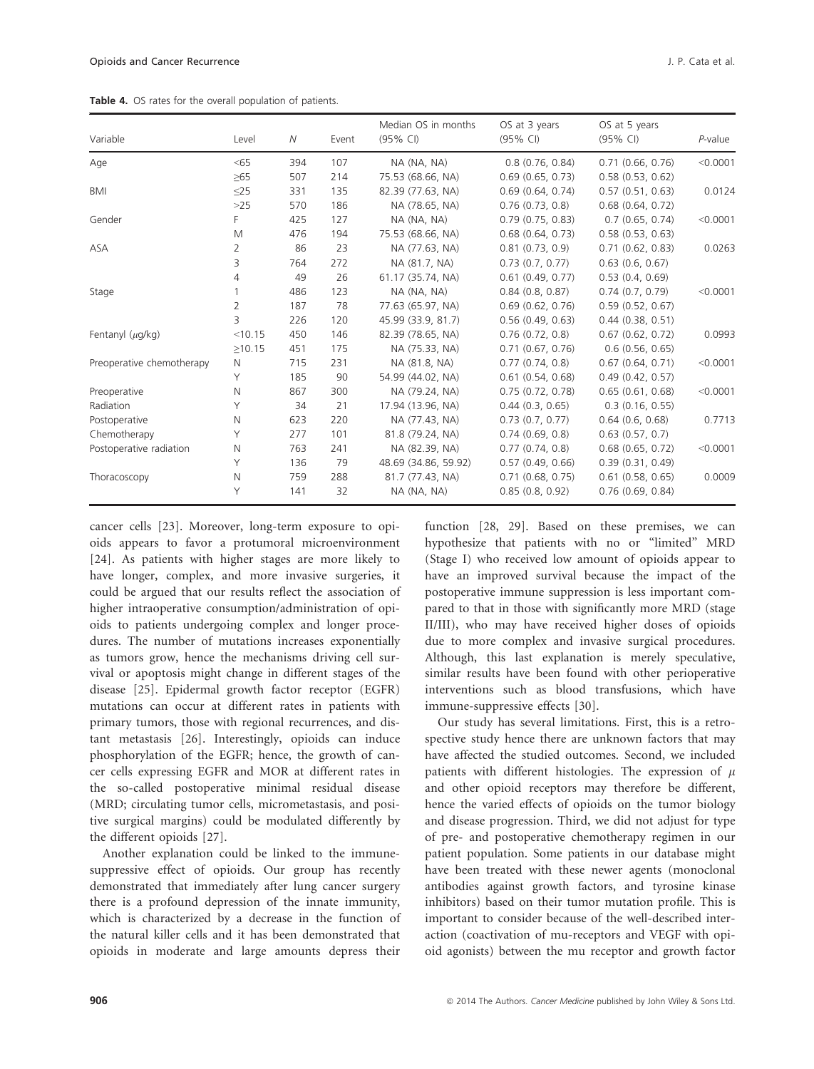|  |  |  |  |  |  | Table 4. OS rates for the overall population of patients. |  |  |
|--|--|--|--|--|--|-----------------------------------------------------------|--|--|
|--|--|--|--|--|--|-----------------------------------------------------------|--|--|

|                           |                |                |       | Median OS in months  | OS at 3 years    | OS at 5 years         |            |
|---------------------------|----------------|----------------|-------|----------------------|------------------|-----------------------|------------|
| Variable                  | Level          | $\overline{N}$ | Event | (95% CI)             | (95% CI)         | (95% CI)              | $P$ -value |
| Age                       | < 65           | 394            | 107   | NA (NA, NA)          | 0.8(0.76, 0.84)  | 0.71(0.66, 0.76)      | < 0.0001   |
|                           | >65            | 507            | 214   | 75.53 (68.66, NA)    | 0.69(0.65, 0.73) | 0.58(0.53, 0.62)      |            |
| <b>BMI</b>                | $\leq$ 25      | 331            | 135   | 82.39 (77.63, NA)    | 0.69(0.64, 0.74) | 0.57(0.51, 0.63)      | 0.0124     |
|                           | $>25$          | 570            | 186   | NA (78.65, NA)       | 0.76(0.73, 0.8)  | 0.68(0.64, 0.72)      |            |
| Gender                    | F              | 425            | 127   | NA (NA, NA)          | 0.79(0.75, 0.83) | 0.7(0.65, 0.74)       | < 0.0001   |
|                           | M              | 476            | 194   | 75.53 (68.66, NA)    | 0.68(0.64, 0.73) | 0.58(0.53, 0.63)      |            |
| <b>ASA</b>                | $\overline{2}$ | 86             | 23    | NA (77.63, NA)       | 0.81(0.73, 0.9)  | 0.71(0.62, 0.83)      | 0.0263     |
|                           | 3              | 764            | 272   | NA (81.7, NA)        | 0.73(0.7, 0.77)  | $0.63$ $(0.6, 0.67)$  |            |
|                           | 4              | 49             | 26    | 61.17 (35.74, NA)    | 0.61(0.49, 0.77) | 0.53(0.4, 0.69)       |            |
| Stage                     |                | 486            | 123   | NA (NA, NA)          | 0.84(0.8, 0.87)  | 0.74(0.7, 0.79)       | < 0.0001   |
|                           | $\overline{2}$ | 187            | 78    | 77.63 (65.97, NA)    | 0.69(0.62, 0.76) | 0.59(0.52, 0.67)      |            |
|                           | 3              | 226            | 120   | 45.99 (33.9, 81.7)   | 0.56(0.49, 0.63) | 0.44(0.38, 0.51)      |            |
| Fentanyl $(\mu q/kg)$     | < 10.15        | 450            | 146   | 82.39 (78.65, NA)    | 0.76(0.72, 0.8)  | 0.67(0.62, 0.72)      | 0.0993     |
|                           | >10.15         | 451            | 175   | NA (75.33, NA)       | 0.71(0.67, 0.76) | 0.6(0.56, 0.65)       |            |
| Preoperative chemotherapy | $\mathsf{N}$   | 715            | 231   | NA (81.8, NA)        | 0.77(0.74, 0.8)  | 0.67(0.64, 0.71)      | < 0.0001   |
|                           | Υ              | 185            | 90    | 54.99 (44.02, NA)    | 0.61(0.54, 0.68) | 0.49(0.42, 0.57)      |            |
| Preoperative              | N              | 867            | 300   | NA (79.24, NA)       | 0.75(0.72, 0.78) | 0.65(0.61, 0.68)      | < 0.0001   |
| Radiation                 | Υ              | 34             | 21    | 17.94 (13.96, NA)    | 0.44(0.3, 0.65)  | 0.3(0.16, 0.55)       |            |
| Postoperative             | N              | 623            | 220   | NA (77.43, NA)       | 0.73(0.7, 0.77)  | 0.64(0.6, 0.68)       | 0.7713     |
| Chemotherapy              | Υ              | 277            | 101   | 81.8 (79.24, NA)     | 0.74(0.69, 0.8)  | 0.63(0.57, 0.7)       |            |
| Postoperative radiation   | $\mathsf{N}$   | 763            | 241   | NA (82.39, NA)       | 0.77(0.74, 0.8)  | $0.68$ $(0.65, 0.72)$ | < 0.0001   |
|                           | Υ              | 136            | 79    | 48.69 (34.86, 59.92) | 0.57(0.49, 0.66) | 0.39(0.31, 0.49)      |            |
| Thoracoscopy              | $\mathsf{N}$   | 759            | 288   | 81.7 (77.43, NA)     | 0.71(0.68, 0.75) | $0.61$ $(0.58, 0.65)$ | 0.0009     |
|                           | Υ              | 141            | 32    | NA (NA, NA)          | 0.85(0.8, 0.92)  | 0.76(0.69, 0.84)      |            |

cancer cells [23]. Moreover, long-term exposure to opioids appears to favor a protumoral microenvironment [24]. As patients with higher stages are more likely to have longer, complex, and more invasive surgeries, it could be argued that our results reflect the association of higher intraoperative consumption/administration of opioids to patients undergoing complex and longer procedures. The number of mutations increases exponentially as tumors grow, hence the mechanisms driving cell survival or apoptosis might change in different stages of the disease [25]. Epidermal growth factor receptor (EGFR) mutations can occur at different rates in patients with primary tumors, those with regional recurrences, and distant metastasis [26]. Interestingly, opioids can induce phosphorylation of the EGFR; hence, the growth of cancer cells expressing EGFR and MOR at different rates in the so-called postoperative minimal residual disease (MRD; circulating tumor cells, micrometastasis, and positive surgical margins) could be modulated differently by the different opioids [27].

Another explanation could be linked to the immunesuppressive effect of opioids. Our group has recently demonstrated that immediately after lung cancer surgery there is a profound depression of the innate immunity, which is characterized by a decrease in the function of the natural killer cells and it has been demonstrated that opioids in moderate and large amounts depress their

function [28, 29]. Based on these premises, we can hypothesize that patients with no or "limited" MRD (Stage I) who received low amount of opioids appear to have an improved survival because the impact of the postoperative immune suppression is less important compared to that in those with significantly more MRD (stage II/III), who may have received higher doses of opioids due to more complex and invasive surgical procedures. Although, this last explanation is merely speculative, similar results have been found with other perioperative interventions such as blood transfusions, which have immune-suppressive effects [30].

Our study has several limitations. First, this is a retrospective study hence there are unknown factors that may have affected the studied outcomes. Second, we included patients with different histologies. The expression of  $\mu$ and other opioid receptors may therefore be different, hence the varied effects of opioids on the tumor biology and disease progression. Third, we did not adjust for type of pre- and postoperative chemotherapy regimen in our patient population. Some patients in our database might have been treated with these newer agents (monoclonal antibodies against growth factors, and tyrosine kinase inhibitors) based on their tumor mutation profile. This is important to consider because of the well-described interaction (coactivation of mu-receptors and VEGF with opioid agonists) between the mu receptor and growth factor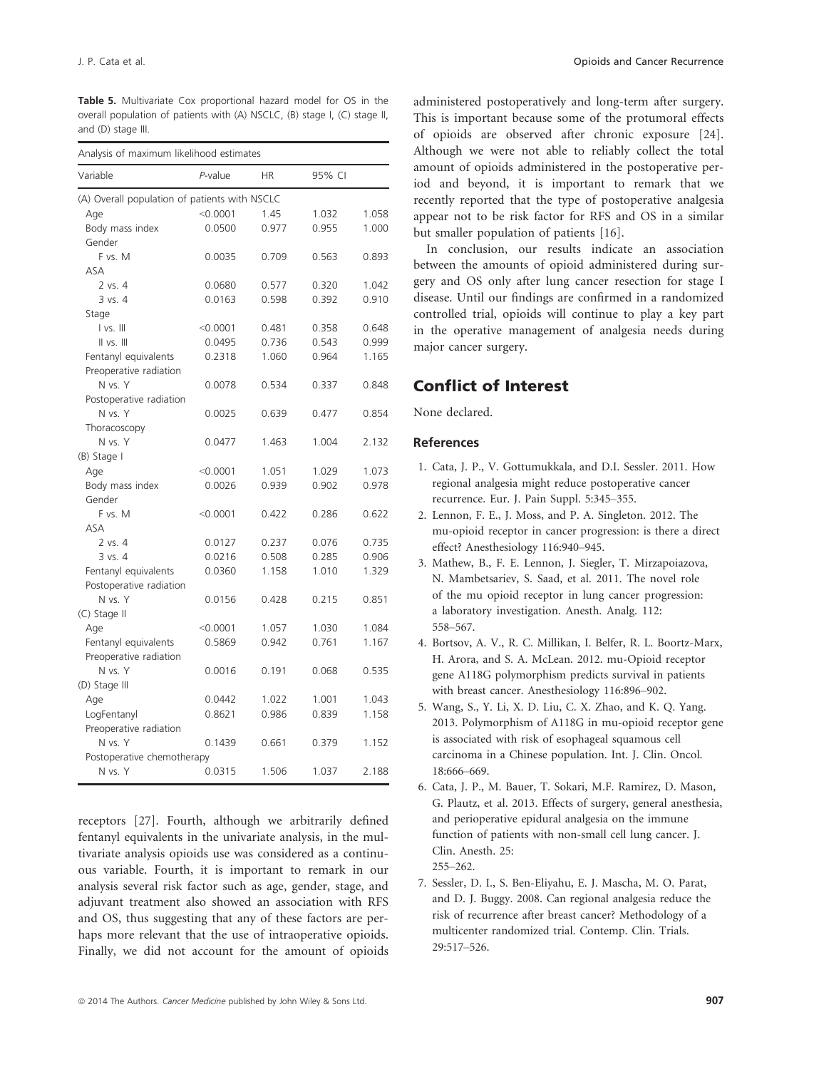Table 5. Multivariate Cox proportional hazard model for OS in the overall population of patients with (A) NSCLC, (B) stage I, (C) stage II, and (D) stage III.

| Analysis of maximum likelihood estimates      |            |           |        |       |  |  |  |  |  |  |
|-----------------------------------------------|------------|-----------|--------|-------|--|--|--|--|--|--|
| Variable                                      | P-value    | <b>HR</b> | 95% CI |       |  |  |  |  |  |  |
| (A) Overall population of patients with NSCLC |            |           |        |       |  |  |  |  |  |  |
| Age                                           | < 0.0001   | 1.45      | 1.032  | 1.058 |  |  |  |  |  |  |
| Body mass index                               | 0.0500     | 0.977     | 0.955  | 1.000 |  |  |  |  |  |  |
| Gender                                        |            |           |        |       |  |  |  |  |  |  |
| F vs. M                                       | 0.0035     | 0.709     | 0.563  | 0.893 |  |  |  |  |  |  |
| ASA                                           |            |           |        |       |  |  |  |  |  |  |
| 2 vs. 4                                       | 0.0680     | 0.577     | 0.320  | 1.042 |  |  |  |  |  |  |
| 3 vs. 4                                       | 0.0163     | 0.598     | 0.392  | 0.910 |  |  |  |  |  |  |
| Stage                                         |            |           |        |       |  |  |  |  |  |  |
| $\vert$ vs. $\vert \vert \vert$               | < 0.0001   | 0.481     | 0.358  | 0.648 |  |  |  |  |  |  |
| II vs. III                                    | 0.0495     | 0.736     | 0.543  | 0.999 |  |  |  |  |  |  |
| Fentanyl equivalents                          | 0.2318     | 1.060     | 0.964  | 1.165 |  |  |  |  |  |  |
| Preoperative radiation                        |            |           |        |       |  |  |  |  |  |  |
| N vs. Y                                       | 0.0078     | 0.534     | 0.337  | 0.848 |  |  |  |  |  |  |
| Postoperative radiation                       |            |           |        |       |  |  |  |  |  |  |
| N vs. Y                                       | 0.0025     | 0.639     | 0.477  | 0.854 |  |  |  |  |  |  |
| Thoracoscopy                                  |            |           |        |       |  |  |  |  |  |  |
| N vs. Y                                       | 0.0477     | 1.463     | 1.004  | 2.132 |  |  |  |  |  |  |
| (B) Stage I                                   |            |           |        |       |  |  |  |  |  |  |
| Age                                           | $<$ 0.0001 | 1.051     | 1.029  | 1.073 |  |  |  |  |  |  |
| Body mass index                               | 0.0026     | 0.939     | 0.902  | 0.978 |  |  |  |  |  |  |
| Gender                                        |            |           |        |       |  |  |  |  |  |  |
| F vs. M                                       | < 0.0001   | 0.422     | 0.286  | 0.622 |  |  |  |  |  |  |
| ASA                                           |            |           |        |       |  |  |  |  |  |  |
| $2$ vs. $4$                                   | 0.0127     | 0.237     | 0.076  | 0.735 |  |  |  |  |  |  |
| 3 vs. 4                                       | 0.0216     | 0.508     | 0.285  | 0.906 |  |  |  |  |  |  |
| Fentanyl equivalents                          | 0.0360     | 1.158     | 1.010  | 1.329 |  |  |  |  |  |  |
| Postoperative radiation                       |            |           |        |       |  |  |  |  |  |  |
| N vs. Y                                       | 0.0156     | 0.428     | 0.215  | 0.851 |  |  |  |  |  |  |
| (C) Stage II                                  |            |           |        |       |  |  |  |  |  |  |
| Age                                           | < 0.0001   | 1.057     | 1.030  | 1.084 |  |  |  |  |  |  |
| Fentanyl equivalents                          | 0.5869     | 0.942     | 0.761  | 1.167 |  |  |  |  |  |  |
| Preoperative radiation                        |            |           |        |       |  |  |  |  |  |  |
| N vs. Y                                       | 0.0016     | 0.191     | 0.068  | 0.535 |  |  |  |  |  |  |
| (D) Stage III                                 |            |           |        |       |  |  |  |  |  |  |
| Age                                           | 0.0442     | 1.022     | 1.001  | 1.043 |  |  |  |  |  |  |
| LogFentanyl                                   | 0.8621     | 0.986     | 0.839  | 1.158 |  |  |  |  |  |  |
| Preoperative radiation                        |            |           |        |       |  |  |  |  |  |  |
| N vs. Y                                       | 0.1439     | 0.661     | 0.379  | 1.152 |  |  |  |  |  |  |
| Postoperative chemotherapy                    |            |           |        |       |  |  |  |  |  |  |
| N vs. Y                                       | 0.0315     | 1.506     | 1.037  | 2.188 |  |  |  |  |  |  |

receptors [27]. Fourth, although we arbitrarily defined fentanyl equivalents in the univariate analysis, in the multivariate analysis opioids use was considered as a continuous variable. Fourth, it is important to remark in our analysis several risk factor such as age, gender, stage, and adjuvant treatment also showed an association with RFS and OS, thus suggesting that any of these factors are perhaps more relevant that the use of intraoperative opioids. Finally, we did not account for the amount of opioids administered postoperatively and long-term after surgery. This is important because some of the protumoral effects of opioids are observed after chronic exposure [24]. Although we were not able to reliably collect the total amount of opioids administered in the postoperative period and beyond, it is important to remark that we recently reported that the type of postoperative analgesia appear not to be risk factor for RFS and OS in a similar but smaller population of patients [16].

In conclusion, our results indicate an association between the amounts of opioid administered during surgery and OS only after lung cancer resection for stage I disease. Until our findings are confirmed in a randomized controlled trial, opioids will continue to play a key part in the operative management of analgesia needs during major cancer surgery.

# Conflict of Interest

None declared.

### References

- 1. Cata, J. P., V. Gottumukkala, and D.I. Sessler. 2011. How regional analgesia might reduce postoperative cancer recurrence. Eur. J. Pain Suppl. 5:345–355.
- 2. Lennon, F. E., J. Moss, and P. A. Singleton. 2012. The mu-opioid receptor in cancer progression: is there a direct effect? Anesthesiology 116:940–945.
- 3. Mathew, B., F. E. Lennon, J. Siegler, T. Mirzapoiazova, N. Mambetsariev, S. Saad, et al. 2011. The novel role of the mu opioid receptor in lung cancer progression: a laboratory investigation. Anesth. Analg. 112: 558–567.
- 4. Bortsov, A. V., R. C. Millikan, I. Belfer, R. L. Boortz-Marx, H. Arora, and S. A. McLean. 2012. mu-Opioid receptor gene A118G polymorphism predicts survival in patients with breast cancer. Anesthesiology 116:896–902.
- 5. Wang, S., Y. Li, X. D. Liu, C. X. Zhao, and K. Q. Yang. 2013. Polymorphism of A118G in mu-opioid receptor gene is associated with risk of esophageal squamous cell carcinoma in a Chinese population. Int. J. Clin. Oncol. 18:666–669.
- 6. Cata, J. P., M. Bauer, T. Sokari, M.F. Ramirez, D. Mason, G. Plautz, et al. 2013. Effects of surgery, general anesthesia, and perioperative epidural analgesia on the immune function of patients with non-small cell lung cancer. J. Clin. Anesth. 25: 255–262.
- 7. Sessler, D. I., S. Ben-Eliyahu, E. J. Mascha, M. O. Parat, and D. J. Buggy. 2008. Can regional analgesia reduce the risk of recurrence after breast cancer? Methodology of a multicenter randomized trial. Contemp. Clin. Trials. 29:517–526.